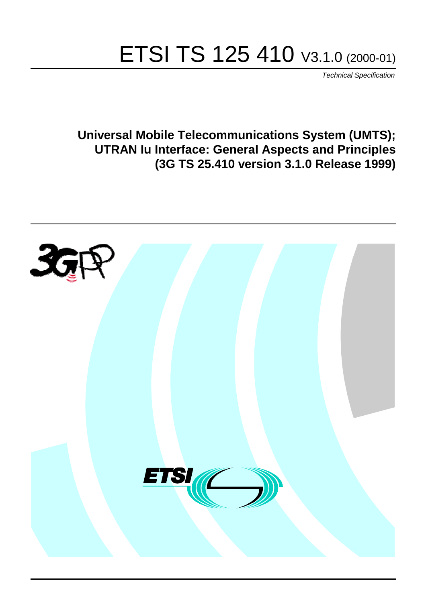# ETSI TS 125 410 V3.1.0 (2000-01)

Technical Specification

**Universal Mobile Telecommunications System (UMTS); UTRAN Iu Interface: General Aspects and Principles (3G TS 25.410 version 3.1.0 Release 1999)**

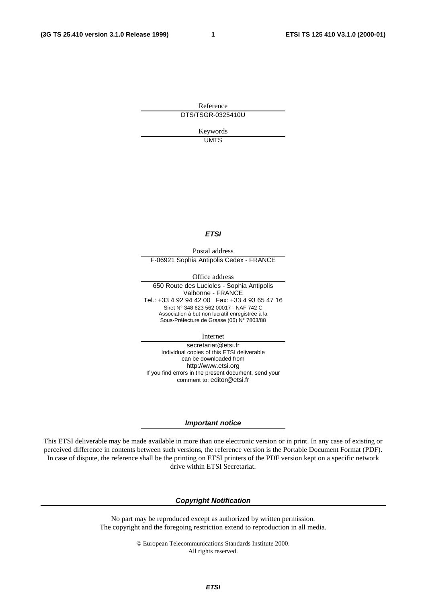**1**

Reference DTS/TSGR-0325410U

> Keywords UMTS

#### **ETSI**

Postal address F-06921 Sophia Antipolis Cedex - FRANCE

Office address

650 Route des Lucioles - Sophia Antipolis Valbonne - FRANCE Tel.: +33 4 92 94 42 00 Fax: +33 4 93 65 47 16 Siret N° 348 623 562 00017 - NAF 742 C Association à but non lucratif enregistrée à la Sous-Préfecture de Grasse (06) N° 7803/88

Internet

secretariat@etsi.fr Individual copies of this ETSI deliverable can be downloaded from http://www.etsi.org If you find errors in the present document, send your comment to: editor@etsi.fr

#### **Important notice**

This ETSI deliverable may be made available in more than one electronic version or in print. In any case of existing or perceived difference in contents between such versions, the reference version is the Portable Document Format (PDF). In case of dispute, the reference shall be the printing on ETSI printers of the PDF version kept on a specific network drive within ETSI Secretariat.

#### **Copyright Notification**

No part may be reproduced except as authorized by written permission. The copyright and the foregoing restriction extend to reproduction in all media.

> © European Telecommunications Standards Institute 2000. All rights reserved.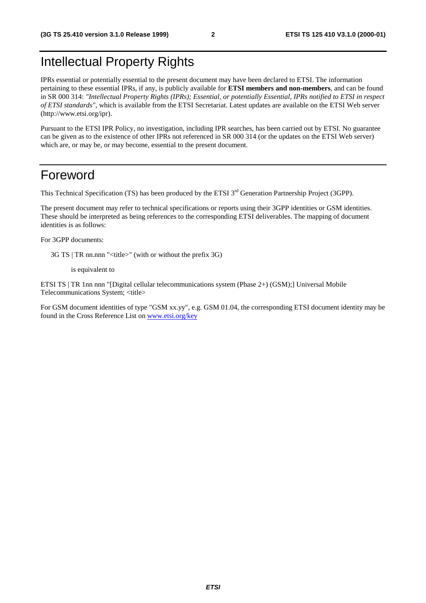## Intellectual Property Rights

IPRs essential or potentially essential to the present document may have been declared to ETSI. The information pertaining to these essential IPRs, if any, is publicly available for **ETSI members and non-members**, and can be found in SR 000 314: *"Intellectual Property Rights (IPRs); Essential, or potentially Essential, IPRs notified to ETSI in respect of ETSI standards"*, which is available from the ETSI Secretariat. Latest updates are available on the ETSI Web server (http://www.etsi.org/ipr).

Pursuant to the ETSI IPR Policy, no investigation, including IPR searches, has been carried out by ETSI. No guarantee can be given as to the existence of other IPRs not referenced in SR 000 314 (or the updates on the ETSI Web server) which are, or may be, or may become, essential to the present document.

### Foreword

This Technical Specification (TS) has been produced by the ETSI 3<sup>rd</sup> Generation Partnership Project (3GPP).

The present document may refer to technical specifications or reports using their 3GPP identities or GSM identities. These should be interpreted as being references to the corresponding ETSI deliverables. The mapping of document identities is as follows:

For 3GPP documents:

3G TS | TR nn.nnn "<title>" (with or without the prefix 3G)

is equivalent to

ETSI TS | TR 1nn nnn "[Digital cellular telecommunications system (Phase 2+) (GSM);] Universal Mobile Telecommunications System; <title>

For GSM document identities of type "GSM xx.yy", e.g. GSM 01.04, the corresponding ETSI document identity may be found in the Cross Reference List on [www.etsi.org/key](http://www.etsi.org/key)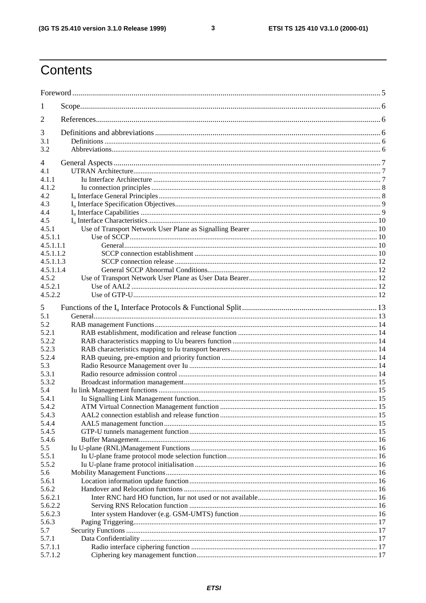$\overline{\mathbf{3}}$ 

## Contents

| 1                  |  |  |  |
|--------------------|--|--|--|
| 2                  |  |  |  |
| 3                  |  |  |  |
| 3.1                |  |  |  |
| 3.2                |  |  |  |
| 4                  |  |  |  |
| 4.1                |  |  |  |
| 4.1.1              |  |  |  |
| 4.1.2              |  |  |  |
| 4.2                |  |  |  |
| 4.3                |  |  |  |
| 4.4                |  |  |  |
| 4.5                |  |  |  |
| 4.5.1              |  |  |  |
| 4.5.1.1            |  |  |  |
| 4.5.1.1.1          |  |  |  |
| 4.5.1.1.2          |  |  |  |
| 4.5.1.1.3          |  |  |  |
| 4.5.1.1.4          |  |  |  |
| 4.5.2              |  |  |  |
| 4.5.2.1<br>4.5.2.2 |  |  |  |
|                    |  |  |  |
| 5                  |  |  |  |
| 5.1                |  |  |  |
| 5.2                |  |  |  |
| 5.2.1              |  |  |  |
| 5.2.2              |  |  |  |
| 5.2.3              |  |  |  |
| 5.2.4              |  |  |  |
| 5.3                |  |  |  |
| 5.3.1              |  |  |  |
| 5.3.2              |  |  |  |
| 5.4                |  |  |  |
| 5.4.1              |  |  |  |
| 5.4.2<br>5.4.3     |  |  |  |
| 5.4.4              |  |  |  |
| 5.4.5              |  |  |  |
| 5.4.6              |  |  |  |
| 5.5                |  |  |  |
| 5.5.1              |  |  |  |
| 5.5.2              |  |  |  |
| 5.6                |  |  |  |
| 5.6.1              |  |  |  |
| 5.6.2              |  |  |  |
| 5.6.2.1            |  |  |  |
| 5.6.2.2            |  |  |  |
| 5.6.2.3            |  |  |  |
| 5.6.3              |  |  |  |
| 5.7                |  |  |  |
| 5.7.1              |  |  |  |
| 5.7.1.1            |  |  |  |
| 5.7.1.2            |  |  |  |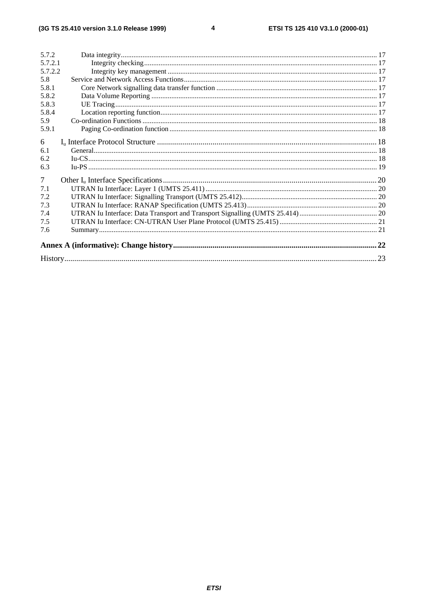| 5.7.2          |  |  |  |
|----------------|--|--|--|
| 5.7.2.1        |  |  |  |
| 5.7.2.2        |  |  |  |
| 5.8            |  |  |  |
| 5.8.1          |  |  |  |
| 5.8.2          |  |  |  |
| 5.8.3          |  |  |  |
| 5.8.4          |  |  |  |
| 5.9            |  |  |  |
| 5.9.1          |  |  |  |
|                |  |  |  |
| 6              |  |  |  |
| 6.1            |  |  |  |
| 6.2            |  |  |  |
| 6.3            |  |  |  |
| $\overline{7}$ |  |  |  |
| 7.1            |  |  |  |
| 7.2            |  |  |  |
| 7.3            |  |  |  |
| 7.4            |  |  |  |
| 7.5            |  |  |  |
| 7.6            |  |  |  |
|                |  |  |  |
|                |  |  |  |
|                |  |  |  |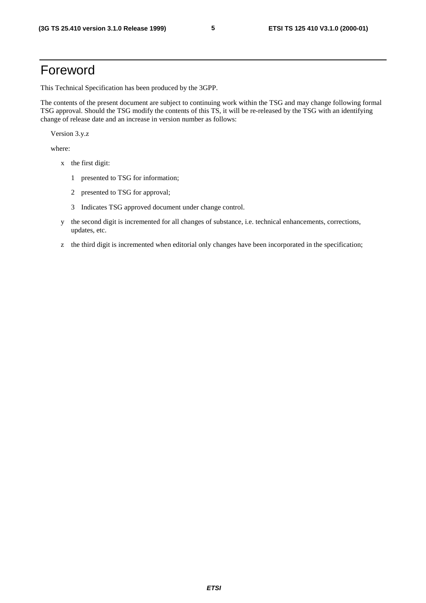## Foreword

This Technical Specification has been produced by the 3GPP.

The contents of the present document are subject to continuing work within the TSG and may change following formal TSG approval. Should the TSG modify the contents of this TS, it will be re-released by the TSG with an identifying change of release date and an increase in version number as follows:

Version 3.y.z

where:

- x the first digit:
	- 1 presented to TSG for information;
	- 2 presented to TSG for approval;
	- 3 Indicates TSG approved document under change control.
- y the second digit is incremented for all changes of substance, i.e. technical enhancements, corrections, updates, etc.
- z the third digit is incremented when editorial only changes have been incorporated in the specification;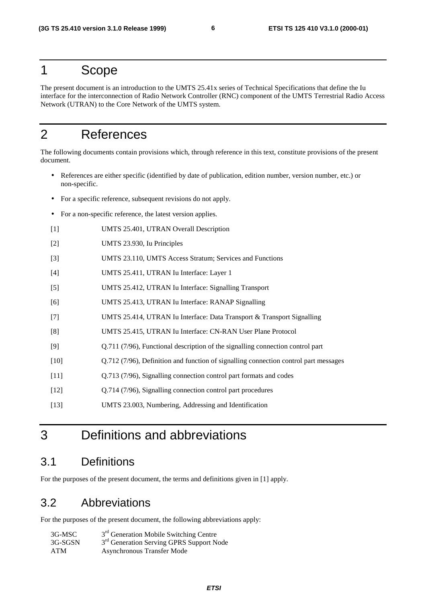### 1 Scope

The present document is an introduction to the UMTS 25.41x series of Technical Specifications that define the Iu interface for the interconnection of Radio Network Controller (RNC) component of the UMTS Terrestrial Radio Access Network (UTRAN) to the Core Network of the UMTS system.

## 2 References

The following documents contain provisions which, through reference in this text, constitute provisions of the present document.

- References are either specific (identified by date of publication, edition number, version number, etc.) or non-specific.
- For a specific reference, subsequent revisions do not apply.
- For a non-specific reference, the latest version applies.
- [1] UMTS 25.401, UTRAN Overall Description
- [2] UMTS 23.930, Iu Principles
- [3] UMTS 23.110, UMTS Access Stratum; Services and Functions
- [4] UMTS 25.411, UTRAN Iu Interface: Layer 1
- [5] UMTS 25.412, UTRAN Iu Interface: Signalling Transport
- [6] UMTS 25.413, UTRAN Iu Interface: RANAP Signalling
- [7] UMTS 25.414, UTRAN Iu Interface: Data Transport & Transport Signalling
- [8] UMTS 25.415, UTRAN Iu Interface: CN-RAN User Plane Protocol
- [9] Q.711 (7/96), Functional description of the signalling connection control part
- [10] Q.712 (7/96), Definition and function of signalling connection control part messages
- [11] Q.713 (7/96), Signalling connection control part formats and codes
- [12] Q.714 (7/96), Signalling connection control part procedures
- [13] UMTS 23.003, Numbering, Addressing and Identification

## 3 Definitions and abbreviations

### 3.1 Definitions

For the purposes of the present document, the terms and definitions given in [1] apply.

### 3.2 Abbreviations

For the purposes of the present document, the following abbreviations apply:

| 3G-MSC  | 3 <sup>rd</sup> Generation Mobile Switching Centre   |
|---------|------------------------------------------------------|
| 3G-SGSN | 3 <sup>rd</sup> Generation Serving GPRS Support Node |
| ATM     | Asynchronous Transfer Mode                           |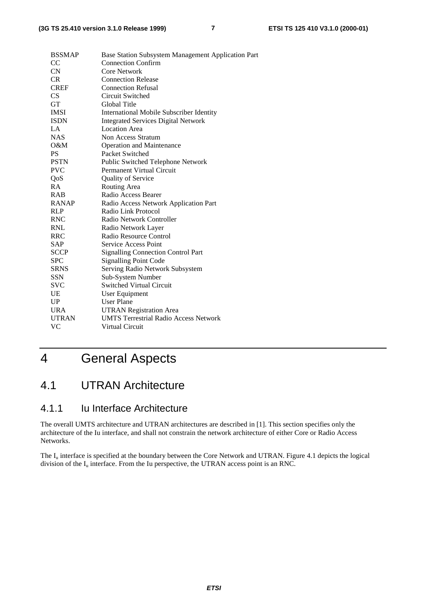| <b>BSSMAP</b> | Base Station Subsystem Management Application Part |
|---------------|----------------------------------------------------|
| CC            | <b>Connection Confirm</b>                          |
| <b>CN</b>     | <b>Core Network</b>                                |
| CR.           | <b>Connection Release</b>                          |
| <b>CREF</b>   | <b>Connection Refusal</b>                          |
| CS            | Circuit Switched                                   |
| <b>GT</b>     | Global Title                                       |
| <b>IMSI</b>   | <b>International Mobile Subscriber Identity</b>    |
| <b>ISDN</b>   | <b>Integrated Services Digital Network</b>         |
| LA            | <b>Location Area</b>                               |
| <b>NAS</b>    | Non Access Stratum                                 |
| O&M           | <b>Operation and Maintenance</b>                   |
| <b>PS</b>     | Packet Switched                                    |
| <b>PSTN</b>   | Public Switched Telephone Network                  |
| <b>PVC</b>    | Permanent Virtual Circuit                          |
| QoS           | Quality of Service                                 |
| RA            | Routing Area                                       |
| <b>RAB</b>    | Radio Access Bearer                                |
| <b>RANAP</b>  | Radio Access Network Application Part              |
| <b>RLP</b>    | Radio Link Protocol                                |
| <b>RNC</b>    | Radio Network Controller                           |
| <b>RNL</b>    | Radio Network Layer                                |
| <b>RRC</b>    | Radio Resource Control                             |
| SAP           | Service Access Point                               |
| <b>SCCP</b>   | <b>Signalling Connection Control Part</b>          |
| <b>SPC</b>    | <b>Signalling Point Code</b>                       |
| <b>SRNS</b>   | Serving Radio Network Subsystem                    |
| SSN           | Sub-System Number                                  |
| <b>SVC</b>    | Switched Virtual Circuit                           |
| UE            | <b>User Equipment</b>                              |
| UP            | <b>User Plane</b>                                  |
| <b>URA</b>    | <b>UTRAN Registration Area</b>                     |
| <b>UTRAN</b>  | <b>UMTS Terrestrial Radio Access Network</b>       |
| VC            | <b>Virtual Circuit</b>                             |
|               |                                                    |

## 4 General Aspects

## 4.1 UTRAN Architecture

### 4.1.1 Iu Interface Architecture

The overall UMTS architecture and UTRAN architectures are described in [1]. This section specifies only the architecture of the Iu interface, and shall not constrain the network architecture of either Core or Radio Access Networks.

The  $I_u$  interface is specified at the boundary between the Core Network and UTRAN. Figure 4.1 depicts the logical division of the  $I_u$  interface. From the Iu perspective, the UTRAN access point is an RNC.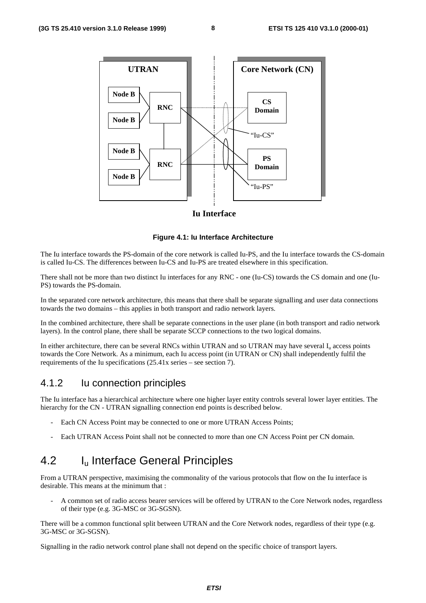

#### **Iu Interface**

**Figure 4.1: Iu Interface Architecture**

The Iu interface towards the PS-domain of the core network is called Iu-PS, and the Iu interface towards the CS-domain is called Iu-CS. The differences between Iu-CS and Iu-PS are treated elsewhere in this specification.

There shall not be more than two distinct Iu interfaces for any RNC - one (Iu-CS) towards the CS domain and one (Iu-PS) towards the PS-domain.

In the separated core network architecture, this means that there shall be separate signalling and user data connections towards the two domains – this applies in both transport and radio network layers.

In the combined architecture, there shall be separate connections in the user plane (in both transport and radio network layers). In the control plane, there shall be separate SCCP connections to the two logical domains.

In either architecture, there can be several RNCs within UTRAN and so UTRAN may have several  $I_u$  access points towards the Core Network. As a minimum, each Iu access point (in UTRAN or CN) shall independently fulfil the requirements of the Iu specifications (25.41x series – see section 7).

### 4.1.2 Iu connection principles

The Iu interface has a hierarchical architecture where one higher layer entity controls several lower layer entities. The hierarchy for the CN - UTRAN signalling connection end points is described below.

- Each CN Access Point may be connected to one or more UTRAN Access Points;
- Each UTRAN Access Point shall not be connected to more than one CN Access Point per CN domain.

## 4.2 **I<sub>u</sub>** Interface General Principles

From a UTRAN perspective, maximising the commonality of the various protocols that flow on the Iu interface is desirable. This means at the minimum that :

- A common set of radio access bearer services will be offered by UTRAN to the Core Network nodes, regardless of their type (e.g. 3G-MSC or 3G-SGSN).

There will be a common functional split between UTRAN and the Core Network nodes, regardless of their type (e.g. 3G-MSC or 3G-SGSN).

Signalling in the radio network control plane shall not depend on the specific choice of transport layers.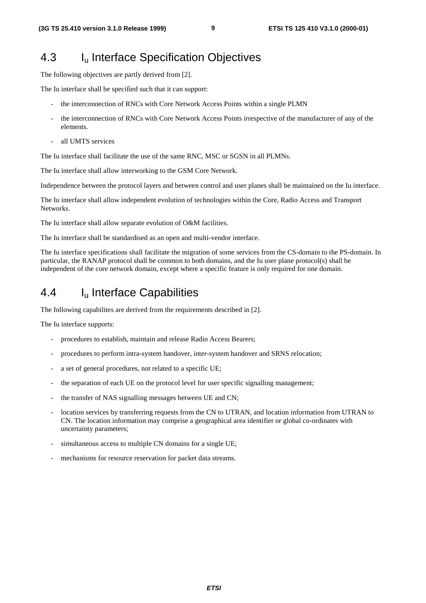### 4.3 Iu Interface Specification Objectives

The following objectives are partly derived from [2].

The Iu interface shall be specified such that it can support:

- the interconnection of RNCs with Core Network Access Points within a single PLMN
- the interconnection of RNCs with Core Network Access Points irrespective of the manufacturer of any of the elements.
- all UMTS services

The Iu interface shall facilitate the use of the same RNC, MSC or SGSN in all PLMNs.

The Iu interface shall allow interworking to the GSM Core Network.

Independence between the protocol layers and between control and user planes shall be maintained on the Iu interface.

The Iu interface shall allow independent evolution of technologies within the Core, Radio Access and Transport Networks.

The Iu interface shall allow separate evolution of O&M facilities.

The Iu interface shall be standardised as an open and multi-vendor interface.

The Iu interface specifications shall facilitate the migration of some services from the CS-domain to the PS-domain. In particular, the RANAP protocol shall be common to both domains, and the Iu user plane protocol(s) shall be independent of the core network domain, except where a specific feature is only required for one domain.

### 4.4 Iu Interface Capabilities

The following capabilites are derived from the requirements described in [2].

The Iu interface supports:

- procedures to establish, maintain and release Radio Access Bearers;
- procedures to perform intra-system handover, inter-system handover and SRNS relocation;
- a set of general procedures, not related to a specific UE;
- the separation of each UE on the protocol level for user specific signalling management;
- the transfer of NAS signalling messages between UE and CN;
- location services by transferring requests from the CN to UTRAN, and location information from UTRAN to CN. The location information may comprise a geographical area identifier or global co-ordinates with uncertainty parameters;
- simultaneous access to multiple CN domains for a single UE;
- mechanisms for resource reservation for packet data streams.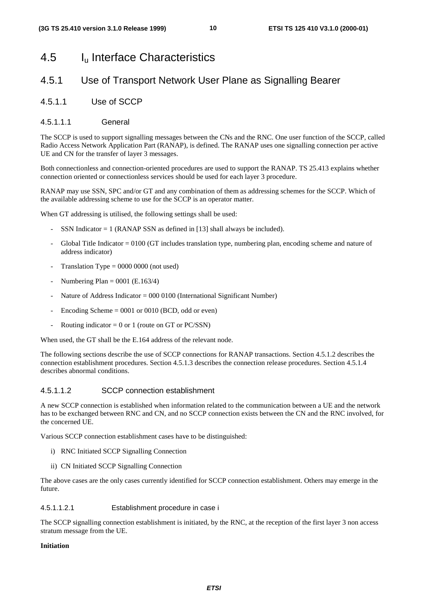### 4.5 Iu Interface Characteristics

#### 4.5.1 Use of Transport Network User Plane as Signalling Bearer

4.5.1.1 Use of SCCP

#### 4.5.1.1.1 General

The SCCP is used to support signalling messages between the CNs and the RNC. One user function of the SCCP, called Radio Access Network Application Part (RANAP), is defined. The RANAP uses one signalling connection per active UE and CN for the transfer of layer 3 messages.

Both connectionless and connection-oriented procedures are used to support the RANAP. TS 25.413 explains whether connection oriented or connectionless services should be used for each layer 3 procedure.

RANAP may use SSN, SPC and/or GT and any combination of them as addressing schemes for the SCCP. Which of the available addressing scheme to use for the SCCP is an operator matter.

When GT addressing is utilised, the following settings shall be used:

- SSN Indicator  $= 1$  (RANAP SSN as defined in [13] shall always be included).
- Global Title Indicator  $= 0100$  (GT includes translation type, numbering plan, encoding scheme and nature of address indicator)
- Translation Type  $= 0000 0000$  (not used)
- Numbering Plan =  $0001$  (E.163/4)
- Nature of Address Indicator =  $000\,0100$  (International Significant Number)
- Encoding Scheme  $= 0001$  or 0010 (BCD, odd or even)
- Routing indicator =  $0$  or 1 (route on GT or PC/SSN)

When used, the GT shall be the E.164 address of the relevant node.

The following sections describe the use of SCCP connections for RANAP transactions. Section 4.5.1.2 describes the connection establishment procedures. Section 4.5.1.3 describes the connection release procedures. Section 4.5.1.4 describes abnormal conditions.

#### 4.5.1.1.2 SCCP connection establishment

A new SCCP connection is established when information related to the communication between a UE and the network has to be exchanged between RNC and CN, and no SCCP connection exists between the CN and the RNC involved, for the concerned UE.

Various SCCP connection establishment cases have to be distinguished:

- i) RNC Initiated SCCP Signalling Connection
- ii) CN Initiated SCCP Signalling Connection

The above cases are the only cases currently identified for SCCP connection establishment. Others may emerge in the future.

#### 4.5.1.1.2.1 Establishment procedure in case i

The SCCP signalling connection establishment is initiated, by the RNC, at the reception of the first layer 3 non access stratum message from the UE.

#### **Initiation**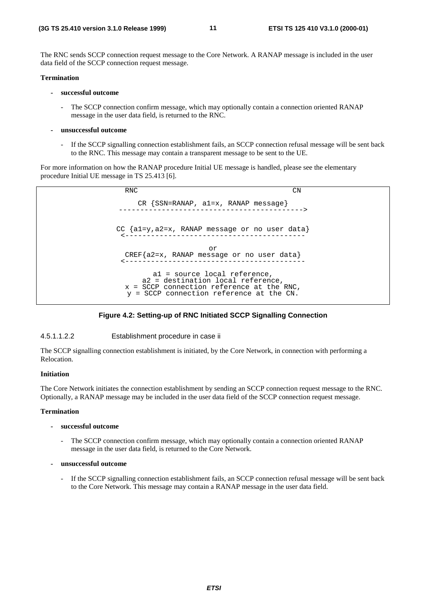The RNC sends SCCP connection request message to the Core Network. A RANAP message is included in the user data field of the SCCP connection request message.

#### **Termination**

#### **- successful outcome**

- The SCCP connection confirm message, which may optionally contain a connection oriented RANAP message in the user data field, is returned to the RNC.
- **unsuccessful outcome**
	- If the SCCP signalling connection establishment fails, an SCCP connection refusal message will be sent back to the RNC. This message may contain a transparent message to be sent to the UE.

For more information on how the RANAP procedure Initial UE message is handled, please see the elementary procedure Initial UE message in TS 25.413 [6].



#### **Figure 4.2: Setting-up of RNC Initiated SCCP Signalling Connection**

#### 4.5.1.1.2.2 Establishment procedure in case ii

The SCCP signalling connection establishment is initiated, by the Core Network, in connection with performing a Relocation.

#### **Initiation**

The Core Network initiates the connection establishment by sending an SCCP connection request message to the RNC. Optionally, a RANAP message may be included in the user data field of the SCCP connection request message.

#### **Termination**

- **successful outcome**
	- The SCCP connection confirm message, which may optionally contain a connection oriented RANAP message in the user data field, is returned to the Core Network.

#### **- unsuccessful outcome**

If the SCCP signalling connection establishment fails, an SCCP connection refusal message will be sent back to the Core Network. This message may contain a RANAP message in the user data field.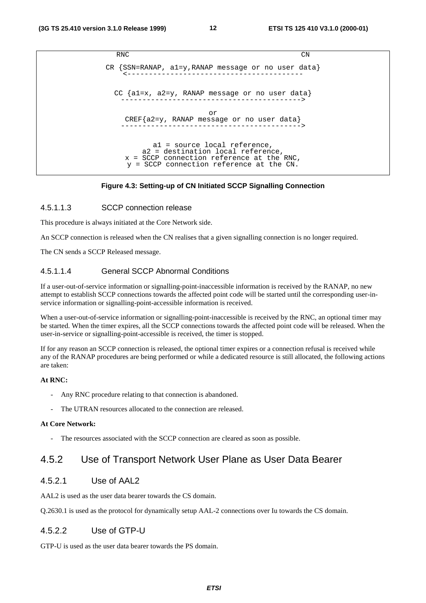```
RNC CN
CR {SSN=RANAP, al=y, RANAP message or no user data}CC {a1=x, a2=y, RANAP message or no user data}
   ------------------------------------------>
                      or
   CREF{a2=y, RANAP message or no user data}
   ------------------------------------------>
          a1 = source local reference,
       a2 = destination local reference,
    x = SCCP connection reference at the RNC,
    y = SCCP connection reference at the CN.
```
#### **Figure 4.3: Setting-up of CN Initiated SCCP Signalling Connection**

#### 4.5.1.1.3 SCCP connection release

This procedure is always initiated at the Core Network side.

An SCCP connection is released when the CN realises that a given signalling connection is no longer required.

The CN sends a SCCP Released message.

#### 4.5.1.1.4 General SCCP Abnormal Conditions

If a user-out-of-service information or signalling-point-inaccessible information is received by the RANAP, no new attempt to establish SCCP connections towards the affected point code will be started until the corresponding user-inservice information or signalling-point-accessible information is received.

When a user-out-of-service information or signalling-point-inaccessible is received by the RNC, an optional timer may be started. When the timer expires, all the SCCP connections towards the affected point code will be released. When the user-in-service or signalling-point-accessible is received, the timer is stopped.

If for any reason an SCCP connection is released, the optional timer expires or a connection refusal is received while any of the RANAP procedures are being performed or while a dedicated resource is still allocated, the following actions are taken:

#### **At RNC:**

- Any RNC procedure relating to that connection is abandoned.
- The UTRAN resources allocated to the connection are released.

#### **At Core Network:**

The resources associated with the SCCP connection are cleared as soon as possible.

#### 4.5.2 Use of Transport Network User Plane as User Data Bearer

#### 4.5.2.1 Use of AAL2

AAL2 is used as the user data bearer towards the CS domain.

Q.2630.1 is used as the protocol for dynamically setup AAL-2 connections over Iu towards the CS domain.

#### 4.5.2.2 Use of GTP-U

GTP-U is used as the user data bearer towards the PS domain.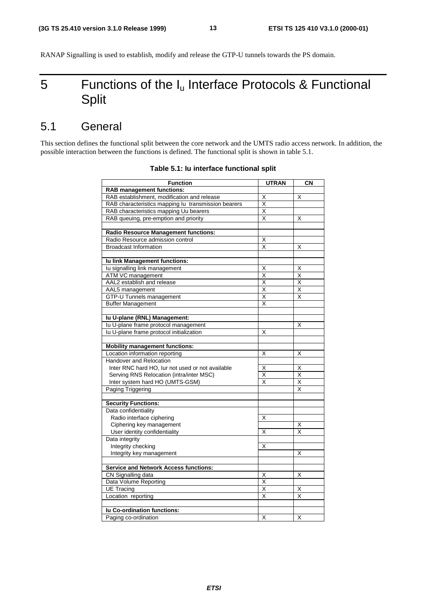RANAP Signalling is used to establish, modify and release the GTP-U tunnels towards the PS domain.

## 5 Functions of the  $I_u$  Interface Protocols & Functional Split

### 5.1 General

This section defines the functional split between the core network and the UMTS radio access network. In addition, the possible interaction between the functions is defined. The functional split is shown in table 5.1.

| <b>Function</b>                                     | <b>UTRAN</b>            | CN                      |
|-----------------------------------------------------|-------------------------|-------------------------|
| <b>RAB management functions:</b>                    |                         |                         |
| RAB establishment, modification and release         | Χ                       | X                       |
| RAB characteristics mapping lu transmission bearers | $\overline{\mathsf{x}}$ |                         |
| RAB characteristics mapping Uu bearers              | $\overline{\mathsf{x}}$ |                         |
| RAB queuing, pre-emption and priority               | X                       | X                       |
|                                                     |                         |                         |
| <b>Radio Resource Management functions:</b>         |                         |                         |
| Radio Resource admission control                    | Χ                       |                         |
| <b>Broadcast Information</b>                        | X                       | X                       |
|                                                     |                         |                         |
| Iu link Management functions:                       |                         |                         |
| Iu signalling link management                       | Χ                       | X                       |
| ATM VC management                                   | Χ                       | Χ                       |
| AAL2 establish and release                          | $\overline{\mathsf{x}}$ | X                       |
| AAL5 management                                     | $\overline{\mathsf{x}}$ | Χ                       |
| GTP-U Tunnels management                            | X                       | Χ                       |
| <b>Buffer Management</b>                            | X                       |                         |
|                                                     |                         |                         |
| Iu U-plane (RNL) Management:                        |                         |                         |
| Iu U-plane frame protocol management                |                         | X                       |
| Iu U-plane frame protocol initialization            | X                       |                         |
|                                                     |                         |                         |
| <b>Mobility management functions:</b>               |                         |                         |
| Location information reporting                      | Χ                       | X                       |
| Handover and Relocation                             |                         |                         |
| Inter RNC hard HO, lur not used or not available    | Χ                       | X                       |
| Serving RNS Relocation (intra/inter MSC)            | X                       | X                       |
| Inter system hard HO (UMTS-GSM)                     | X                       | X                       |
| <b>Paging Triggering</b>                            |                         | X                       |
|                                                     |                         |                         |
| <b>Security Functions:</b>                          |                         |                         |
| Data confidentiality                                |                         |                         |
| Radio interface ciphering                           | Χ                       |                         |
| Ciphering key management                            |                         | х                       |
| User identity confidentiality                       | X                       | X                       |
| Data integrity                                      |                         |                         |
| Integrity checking                                  | X                       |                         |
| Integrity key management                            |                         | х                       |
|                                                     |                         |                         |
| <b>Service and Network Access functions:</b>        |                         |                         |
| CN Signalling data                                  | Χ                       | X                       |
| Data Volume Reporting                               | $\overline{\mathsf{x}}$ |                         |
| UE Tracing                                          | X                       | X                       |
| Location reporting                                  | $\overline{\mathsf{x}}$ | $\overline{\mathsf{x}}$ |
|                                                     |                         |                         |
| lu Co-ordination functions:                         |                         |                         |
| Paging co-ordination                                | X                       | X                       |

#### **Table 5.1: Iu interface functional split**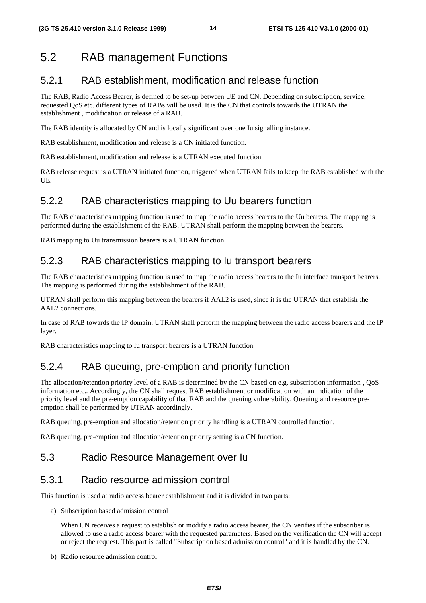## 5.2 RAB management Functions

### 5.2.1 RAB establishment, modification and release function

The RAB, Radio Access Bearer, is defined to be set-up between UE and CN. Depending on subscription, service, requested QoS etc. different types of RABs will be used. It is the CN that controls towards the UTRAN the establishment , modification or release of a RAB.

The RAB identity is allocated by CN and is locally significant over one Iu signalling instance.

RAB establishment, modification and release is a CN initiated function.

RAB establishment, modification and release is a UTRAN executed function.

RAB release request is a UTRAN initiated function, triggered when UTRAN fails to keep the RAB established with the UE.

### 5.2.2 RAB characteristics mapping to Uu bearers function

The RAB characteristics mapping function is used to map the radio access bearers to the Uu bearers. The mapping is performed during the establishment of the RAB. UTRAN shall perform the mapping between the bearers.

RAB mapping to Uu transmission bearers is a UTRAN function.

### 5.2.3 RAB characteristics mapping to Iu transport bearers

The RAB characteristics mapping function is used to map the radio access bearers to the Iu interface transport bearers. The mapping is performed during the establishment of the RAB.

UTRAN shall perform this mapping between the bearers if AAL2 is used, since it is the UTRAN that establish the AAL2 connections.

In case of RAB towards the IP domain, UTRAN shall perform the mapping between the radio access bearers and the IP layer.

RAB characteristics mapping to Iu transport bearers is a UTRAN function.

### 5.2.4 RAB queuing, pre-emption and priority function

The allocation/retention priority level of a RAB is determined by the CN based on e.g. subscription information , QoS information etc.. Accordingly, the CN shall request RAB establishment or modification with an indication of the priority level and the pre-emption capability of that RAB and the queuing vulnerability. Queuing and resource preemption shall be performed by UTRAN accordingly.

RAB queuing, pre-emption and allocation/retention priority handling is a UTRAN controlled function.

RAB queuing, pre-emption and allocation/retention priority setting is a CN function.

### 5.3 Radio Resource Management over Iu

### 5.3.1 Radio resource admission control

This function is used at radio access bearer establishment and it is divided in two parts:

a) Subscription based admission control

When CN receives a request to establish or modify a radio access bearer, the CN verifies if the subscriber is allowed to use a radio access bearer with the requested parameters. Based on the verification the CN will accept or reject the request. This part is called "Subscription based admission control" and it is handled by the CN.

b) Radio resource admission control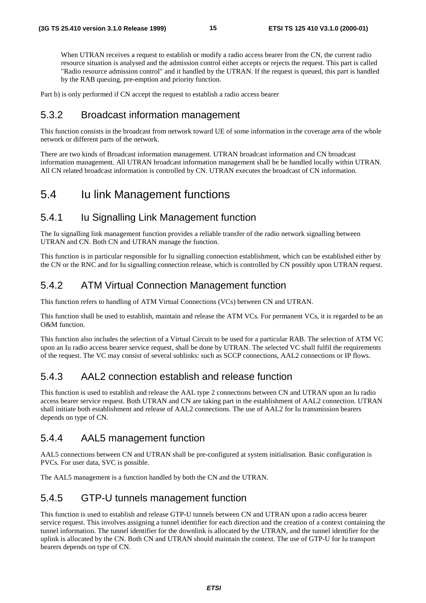When UTRAN receives a request to establish or modify a radio access bearer from the CN, the current radio resource situation is analysed and the admission control either accepts or rejects the request. This part is called "Radio resource admission control" and it handled by the UTRAN. If the request is queued, this part is handled by the RAB queuing, pre-emption and priority function.

Part b) is only performed if CN accept the request to establish a radio access bearer

#### 5.3.2 Broadcast information management

This function consists in the broadcast from network toward UE of some information in the coverage area of the whole network or different parts of the network.

There are two kinds of Broadcast information management. UTRAN broadcast information and CN broadcast information management. All UTRAN broadcast information management shall be be handled locally within UTRAN. All CN related broadcast information is controlled by CN. UTRAN executes the broadcast of CN information.

### 5.4 Iu link Management functions

### 5.4.1 Iu Signalling Link Management function

The Iu signalling link management function provides a reliable transfer of the radio network signalling between UTRAN and CN. Both CN and UTRAN manage the function.

This function is in particular responsible for Iu signalling connection establishment, which can be established either by the CN or the RNC and for Iu signalling connection release, which is controlled by CN possibly upon UTRAN request.

### 5.4.2 ATM Virtual Connection Management function

This function refers to handling of ATM Virtual Connections (VCs) between CN and UTRAN.

This function shall be used to establish, maintain and release the ATM VCs. For permanent VCs, it is regarded to be an O&M function.

This function also includes the selection of a Virtual Circuit to be used for a particular RAB. The selection of ATM VC upon an Iu radio access bearer service request, shall be done by UTRAN. The selected VC shall fulfil the requirements of the request. The VC may consist of several sublinks: such as SCCP connections, AAL2 connections or IP flows.

### 5.4.3 AAL2 connection establish and release function

This function is used to establish and release the AAL type 2 connections between CN and UTRAN upon an Iu radio access bearer service request. Both UTRAN and CN are taking part in the establishment of AAL2 connection. UTRAN shall initiate both establishment and release of AAL2 connections. The use of AAL2 for Iu transmission bearers depends on type of CN.

### 5.4.4 AAL5 management function

AAL5 connections between CN and UTRAN shall be pre-configured at system initialisation. Basic configuration is PVCs. For user data, SVC is possible.

The AAL5 management is a function handled by both the CN and the UTRAN.

### 5.4.5 GTP-U tunnels management function

This function is used to establish and release GTP-U tunnels between CN and UTRAN upon a radio access bearer service request. This involves assigning a tunnel identifier for each direction and the creation of a context containing the tunnel information. The tunnel identifier for the downlink is allocated by the UTRAN, and the tunnel identifier for the uplink is allocated by the CN. Both CN and UTRAN should maintain the context. The use of GTP-U for Iu transport bearers depends on type of CN.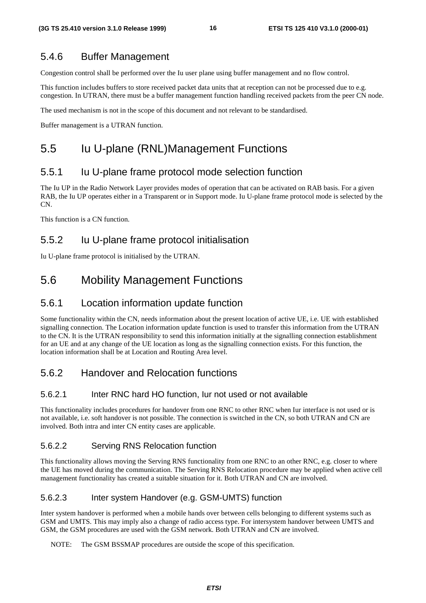#### 5.4.6 Buffer Management

Congestion control shall be performed over the Iu user plane using buffer management and no flow control.

This function includes buffers to store received packet data units that at reception can not be processed due to e.g. congestion. In UTRAN, there must be a buffer management function handling received packets from the peer CN node.

The used mechanism is not in the scope of this document and not relevant to be standardised.

Buffer management is a UTRAN function.

### 5.5 Iu U-plane (RNL)Management Functions

#### 5.5.1 Iu U-plane frame protocol mode selection function

The Iu UP in the Radio Network Layer provides modes of operation that can be activated on RAB basis. For a given RAB, the Iu UP operates either in a Transparent or in Support mode. Iu U-plane frame protocol mode is selected by the  $\Gamma$ 

This function is a CN function.

#### 5.5.2 Iu U-plane frame protocol initialisation

Iu U-plane frame protocol is initialised by the UTRAN.

### 5.6 Mobility Management Functions

#### 5.6.1 Location information update function

Some functionality within the CN, needs information about the present location of active UE, i.e. UE with established signalling connection. The Location information update function is used to transfer this information from the UTRAN to the CN. It is the UTRAN responsibility to send this information initially at the signalling connection establishment for an UE and at any change of the UE location as long as the signalling connection exists. For this function, the location information shall be at Location and Routing Area level.

### 5.6.2 Handover and Relocation functions

#### 5.6.2.1 Inter RNC hard HO function, Iur not used or not available

This functionality includes procedures for handover from one RNC to other RNC when Iur interface is not used or is not available, i.e. soft handover is not possible. The connection is switched in the CN, so both UTRAN and CN are involved. Both intra and inter CN entity cases are applicable.

#### 5.6.2.2 Serving RNS Relocation function

This functionality allows moving the Serving RNS functionality from one RNC to an other RNC, e.g. closer to where the UE has moved during the communication. The Serving RNS Relocation procedure may be applied when active cell management functionality has created a suitable situation for it. Both UTRAN and CN are involved.

#### 5.6.2.3 Inter system Handover (e.g. GSM-UMTS) function

Inter system handover is performed when a mobile hands over between cells belonging to different systems such as GSM and UMTS. This may imply also a change of radio access type. For intersystem handover between UMTS and GSM, the GSM procedures are used with the GSM network. Both UTRAN and CN are involved.

NOTE: The GSM BSSMAP procedures are outside the scope of this specification.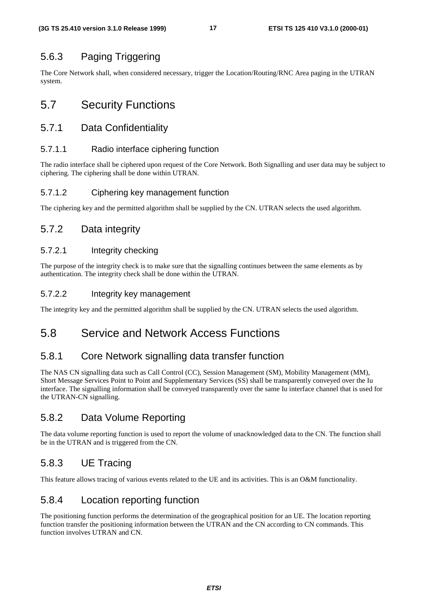### 5.6.3 Paging Triggering

The Core Network shall, when considered necessary, trigger the Location/Routing/RNC Area paging in the UTRAN system.

### 5.7 Security Functions

#### 5.7.1 Data Confidentiality

#### 5.7.1.1 Radio interface ciphering function

The radio interface shall be ciphered upon request of the Core Network. Both Signalling and user data may be subject to ciphering. The ciphering shall be done within UTRAN.

#### 5.7.1.2 Ciphering key management function

The ciphering key and the permitted algorithm shall be supplied by the CN. UTRAN selects the used algorithm.

### 5.7.2 Data integrity

#### 5.7.2.1 Integrity checking

The purpose of the integrity check is to make sure that the signalling continues between the same elements as by authentication. The integrity check shall be done within the UTRAN.

#### 5.7.2.2 Integrity key management

The integrity key and the permitted algorithm shall be supplied by the CN. UTRAN selects the used algorithm.

### 5.8 Service and Network Access Functions

### 5.8.1 Core Network signalling data transfer function

The NAS CN signalling data such as Call Control (CC), Session Management (SM), Mobility Management (MM), Short Message Services Point to Point and Supplementary Services (SS) shall be transparently conveyed over the Iu interface. The signalling information shall be conveyed transparently over the same Iu interface channel that is used for the UTRAN-CN signalling.

### 5.8.2 Data Volume Reporting

The data volume reporting function is used to report the volume of unacknowledged data to the CN. The function shall be in the UTRAN and is triggered from the CN.

### 5.8.3 UE Tracing

This feature allows tracing of various events related to the UE and its activities. This is an O&M functionality.

### 5.8.4 Location reporting function

The positioning function performs the determination of the geographical position for an UE. The location reporting function transfer the positioning information between the UTRAN and the CN according to CN commands. This function involves UTRAN and CN.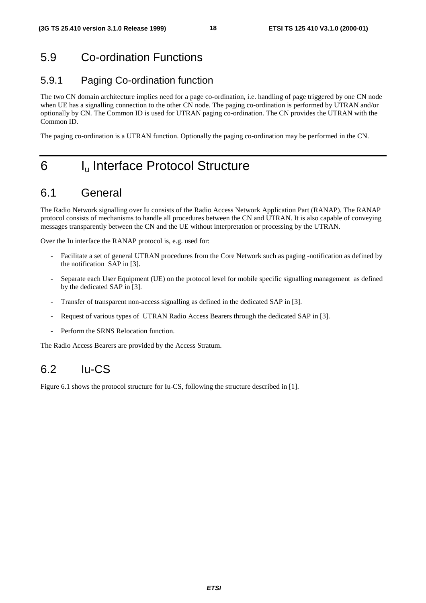## 5.9 Co-ordination Functions

### 5.9.1 Paging Co-ordination function

The two CN domain architecture implies need for a page co-ordination, i.e. handling of page triggered by one CN node when UE has a signalling connection to the other CN node. The paging co-ordination is performed by UTRAN and/or optionally by CN. The Common ID is used for UTRAN paging co-ordination. The CN provides the UTRAN with the Common ID.

The paging co-ordination is a UTRAN function. Optionally the paging co-ordination may be performed in the CN.

## 6 I<sub>u</sub> Interface Protocol Structure

### 6.1 General

The Radio Network signalling over Iu consists of the Radio Access Network Application Part (RANAP). The RANAP protocol consists of mechanisms to handle all procedures between the CN and UTRAN. It is also capable of conveying messages transparently between the CN and the UE without interpretation or processing by the UTRAN.

Over the Iu interface the RANAP protocol is, e.g. used for:

- Facilitate a set of general UTRAN procedures from the Core Network such as paging -notification as defined by the notification SAP in [3].
- Separate each User Equipment (UE) on the protocol level for mobile specific signalling management as defined by the dedicated SAP in [3].
- Transfer of transparent non-access signalling as defined in the dedicated SAP in [3].
- Request of various types of UTRAN Radio Access Bearers through the dedicated SAP in [3].
- Perform the SRNS Relocation function.

The Radio Access Bearers are provided by the Access Stratum.

## $62 \text{ Hz}$

Figure 6.1 shows the protocol structure for Iu-CS, following the structure described in [1].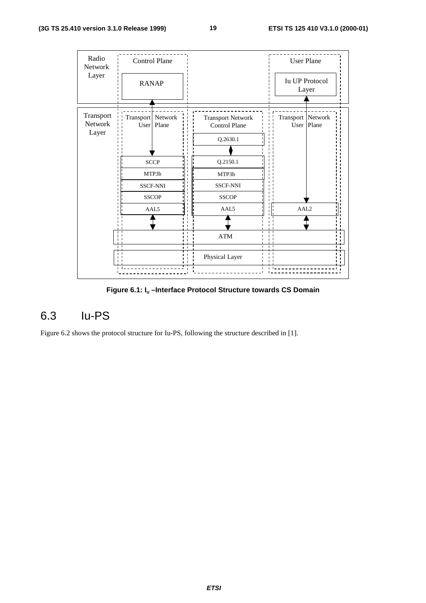

**Figure 6.1: Iu –Interface Protocol Structure towards CS Domain**

## 6.3 Iu-PS

Figure 6.2 shows the protocol structure for Iu-PS, following the structure described in [1].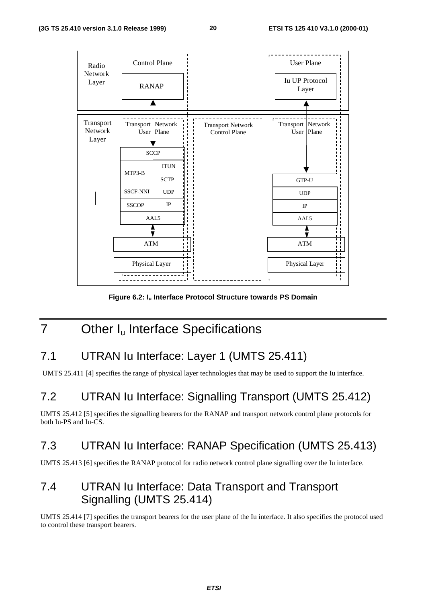

**Figure 6.2: Iu Interface Protocol Structure towards PS Domain**

## 7 Other I<sub>u</sub> Interface Specifications

## 7.1 UTRAN Iu Interface: Layer 1 (UMTS 25.411)

UMTS 25.411 [4] specifies the range of physical layer technologies that may be used to support the Iu interface.

## 7.2 UTRAN Iu Interface: Signalling Transport (UMTS 25.412)

UMTS 25.412 [5] specifies the signalling bearers for the RANAP and transport network control plane protocols for both Iu-PS and Iu-CS.

## 7.3 UTRAN Iu Interface: RANAP Specification (UMTS 25.413)

UMTS 25.413 [6] specifies the RANAP protocol for radio network control plane signalling over the Iu interface.

## 7.4 UTRAN Iu Interface: Data Transport and Transport Signalling (UMTS 25.414)

UMTS 25.414 [7] specifies the transport bearers for the user plane of the Iu interface. It also specifies the protocol used to control these transport bearers.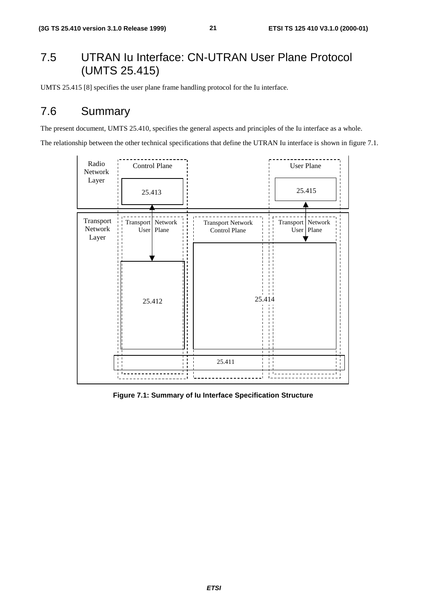## 7.5 UTRAN Iu Interface: CN-UTRAN User Plane Protocol (UMTS 25.415)

UMTS 25.415 [8] specifies the user plane frame handling protocol for the Iu interface.

## 7.6 Summary

The present document, UMTS 25.410, specifies the general aspects and principles of the Iu interface as a whole.

The relationship between the other technical specifications that define the UTRAN Iu interface is shown in figure 7.1.



**Figure 7.1: Summary of Iu Interface Specification Structure**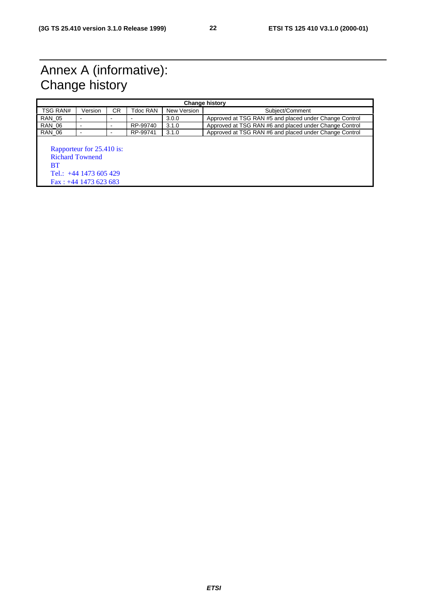## Annex A (informative): Change history

| <b>Change history</b> |                                                                                                                    |    |          |             |                                                        |  |
|-----------------------|--------------------------------------------------------------------------------------------------------------------|----|----------|-------------|--------------------------------------------------------|--|
| TSG RAN#              | Version                                                                                                            | СR | Tdoc RAN | New Version | Subject/Comment                                        |  |
| <b>RAN 05</b>         | $\overline{\phantom{0}}$                                                                                           | -  |          | 3.0.0       | Approved at TSG RAN #5 and placed under Change Control |  |
| <b>RAN 06</b>         | $\blacksquare$                                                                                                     | -  | RP-99740 | 3.1.0       | Approved at TSG RAN #6 and placed under Change Control |  |
| <b>RAN 06</b>         | $\overline{\phantom{0}}$                                                                                           | -  | RP-99741 | 3.1.0       | Approved at TSG RAN #6 and placed under Change Control |  |
| BT                    | Rapporteur for 25.410 is:<br><b>Richard Townend</b><br>Tel.: $+44$ 1473 605 429<br>$\text{Fax}$ : +44 1473 623 683 |    |          |             |                                                        |  |